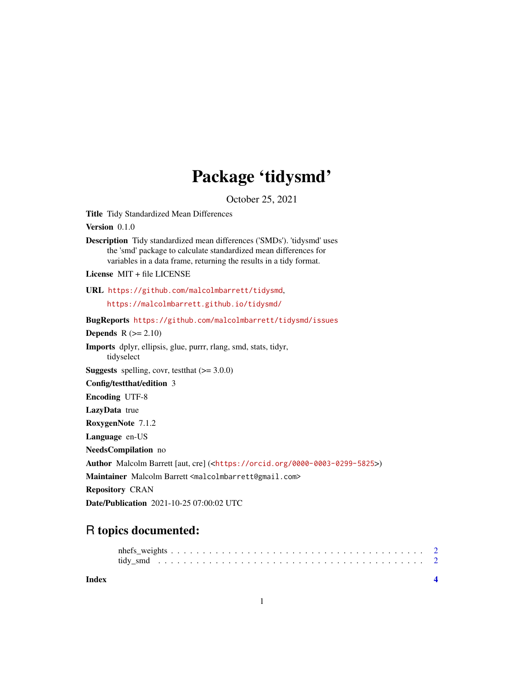## Package 'tidysmd'

October 25, 2021

<span id="page-0-0"></span>Title Tidy Standardized Mean Differences

Version 0.1.0

Description Tidy standardized mean differences ('SMDs'). 'tidysmd' uses the 'smd' package to calculate standardized mean differences for variables in a data frame, returning the results in a tidy format.

License MIT + file LICENSE

URL <https://github.com/malcolmbarrett/tidysmd>,

<https://malcolmbarrett.github.io/tidysmd/>

BugReports <https://github.com/malcolmbarrett/tidysmd/issues>

**Depends**  $R (= 2.10)$ 

Imports dplyr, ellipsis, glue, purrr, rlang, smd, stats, tidyr, tidyselect

**Suggests** spelling, covr, test that  $(>= 3.0.0)$ 

Config/testthat/edition 3

Encoding UTF-8

LazyData true

RoxygenNote 7.1.2

Language en-US

NeedsCompilation no

Author Malcolm Barrett [aut, cre] (<<https://orcid.org/0000-0003-0299-5825>>)

Maintainer Malcolm Barrett <malcolmbarrett@gmail.com>

Repository CRAN

Date/Publication 2021-10-25 07:00:02 UTC

### R topics documented:

**Index** [4](#page-3-0)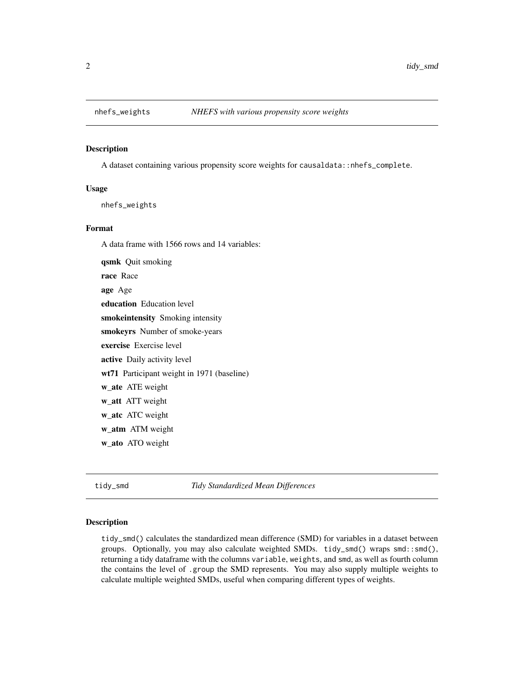<span id="page-1-0"></span>

#### Description

A dataset containing various propensity score weights for causaldata::nhefs\_complete.

#### Usage

nhefs\_weights

#### Format

A data frame with 1566 rows and 14 variables:

qsmk Quit smoking race Race age Age education Education level smokeintensity Smoking intensity smokeyrs Number of smoke-years exercise Exercise level active Daily activity level wt71 Participant weight in 1971 (baseline) w\_ate ATE weight w\_att ATT weight w\_atc ATC weight w\_atm ATM weight w\_ato ATO weight

tidy\_smd *Tidy Standardized Mean Differences*

#### Description

tidy\_smd() calculates the standardized mean difference (SMD) for variables in a dataset between groups. Optionally, you may also calculate weighted SMDs. tidy\_smd() wraps  $smd$ : smd(), returning a tidy dataframe with the columns variable, weights, and smd, as well as fourth column the contains the level of .group the SMD represents. You may also supply multiple weights to calculate multiple weighted SMDs, useful when comparing different types of weights.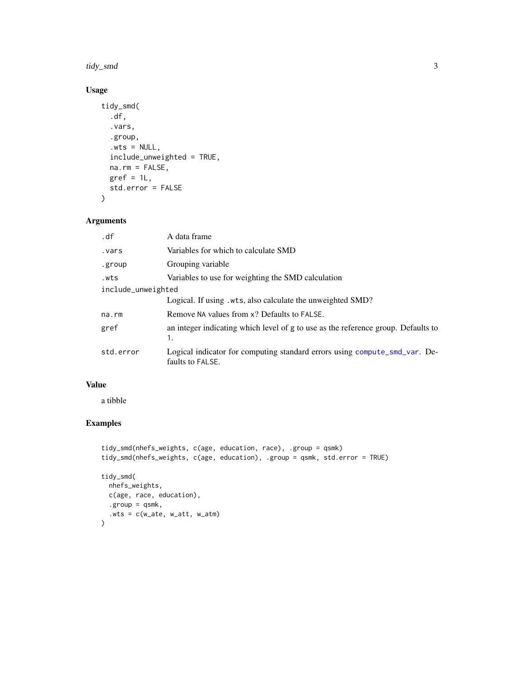<span id="page-2-0"></span>tidy\_smd 3

#### Usage

```
tidy_smd(
  .df,
  .vars,
  .group,
  Wts = NULL,include_unweighted = TRUE,
 na.rm = FALSE,
 gref = 1L,std.error = FALSE
\mathcal{L}
```
#### Arguments

| .df                | A data frame                                                                                   |
|--------------------|------------------------------------------------------------------------------------------------|
| . vars             | Variables for which to calculate SMD                                                           |
| .group             | Grouping variable                                                                              |
| .wts               | Variables to use for weighting the SMD calculation                                             |
| include_unweighted |                                                                                                |
|                    | Logical. If using . wts, also calculate the unweighted SMD?                                    |
| $na$ . $rm$        | Remove NA values from x? Defaults to FALSE.                                                    |
| gref               | an integer indicating which level of g to use as the reference group. Defaults to<br>1.        |
| std.error          | Logical indicator for computing standard errors using compute_smd_var. De-<br>faults to FALSE. |

#### Value

a tibble

#### Examples

```
tidy_smd(nhefs_weights, c(age, education, race), .group = qsmk)
tidy_smd(nhefs_weights, c(age, education), .group = qsmk, std.error = TRUE)
tidy_smd(
 nhefs_weights,
 c(age, race, education),
  .group = qsmk,
  .wts = c(w_ate, w_att, w_atm)
)
```